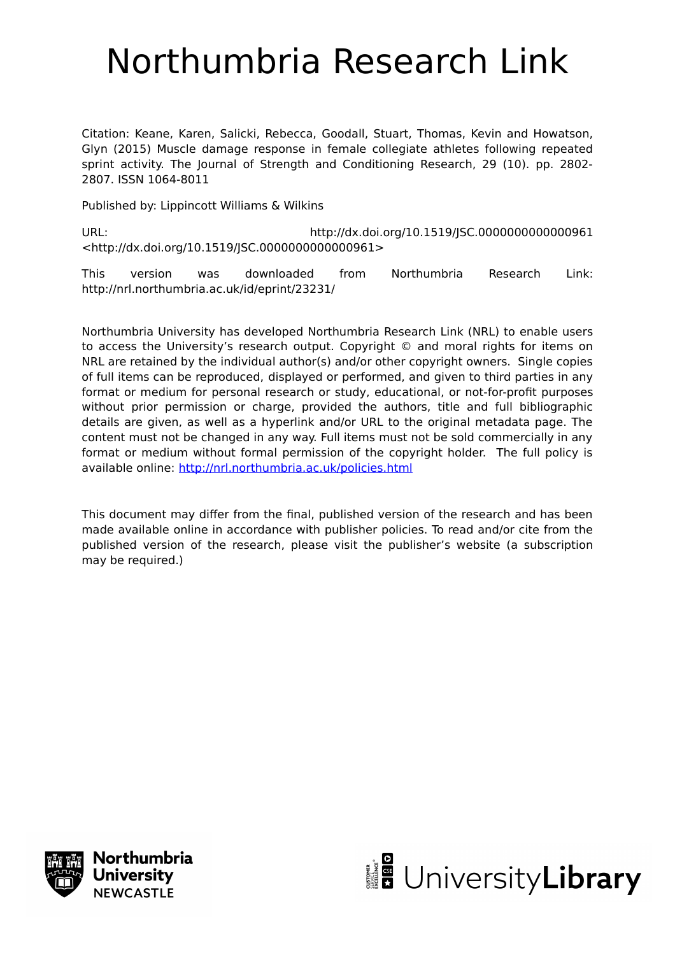# Northumbria Research Link

Citation: Keane, Karen, Salicki, Rebecca, Goodall, Stuart, Thomas, Kevin and Howatson, Glyn (2015) Muscle damage response in female collegiate athletes following repeated sprint activity. The Journal of Strength and Conditioning Research, 29 (10). pp. 2802- 2807. ISSN 1064-8011

Published by: Lippincott Williams & Wilkins

URL: http://dx.doi.org/10.1519/JSC.0000000000000961 <http://dx.doi.org/10.1519/JSC.0000000000000961>

This version was downloaded from Northumbria Research Link: http://nrl.northumbria.ac.uk/id/eprint/23231/

Northumbria University has developed Northumbria Research Link (NRL) to enable users to access the University's research output. Copyright © and moral rights for items on NRL are retained by the individual author(s) and/or other copyright owners. Single copies of full items can be reproduced, displayed or performed, and given to third parties in any format or medium for personal research or study, educational, or not-for-profit purposes without prior permission or charge, provided the authors, title and full bibliographic details are given, as well as a hyperlink and/or URL to the original metadata page. The content must not be changed in any way. Full items must not be sold commercially in any format or medium without formal permission of the copyright holder. The full policy is available online:<http://nrl.northumbria.ac.uk/policies.html>

This document may differ from the final, published version of the research and has been made available online in accordance with publisher policies. To read and/or cite from the published version of the research, please visit the publisher's website (a subscription may be required.)



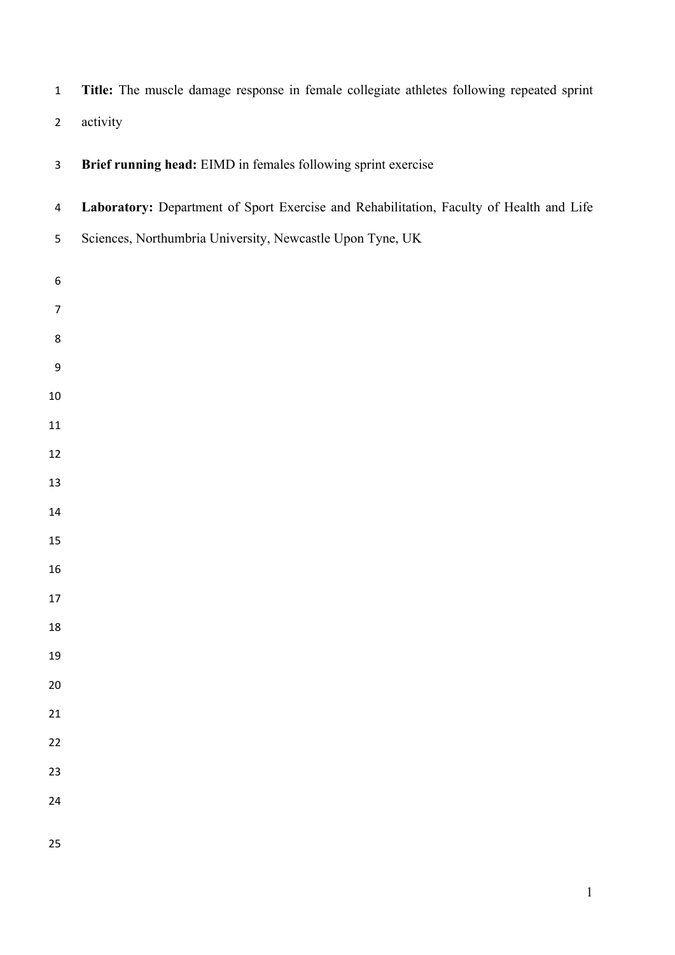**Title:** The muscle damage response in female collegiate athletes following repeated sprint activity

| $\overline{3}$   | Brief running head: EIMD in females following sprint exercise                           |  |  |  |  |  |
|------------------|-----------------------------------------------------------------------------------------|--|--|--|--|--|
| $\overline{4}$   | Laboratory: Department of Sport Exercise and Rehabilitation, Faculty of Health and Life |  |  |  |  |  |
| 5                | Sciences, Northumbria University, Newcastle Upon Tyne, UK                               |  |  |  |  |  |
| $\boldsymbol{6}$ |                                                                                         |  |  |  |  |  |
| $\overline{7}$   |                                                                                         |  |  |  |  |  |
| 8                |                                                                                         |  |  |  |  |  |
| 9                |                                                                                         |  |  |  |  |  |
| 10               |                                                                                         |  |  |  |  |  |
| 11               |                                                                                         |  |  |  |  |  |
| 12               |                                                                                         |  |  |  |  |  |
| 13               |                                                                                         |  |  |  |  |  |
| 14<br>15         |                                                                                         |  |  |  |  |  |
| 16               |                                                                                         |  |  |  |  |  |
| 17               |                                                                                         |  |  |  |  |  |
| 18               |                                                                                         |  |  |  |  |  |
| 19               |                                                                                         |  |  |  |  |  |
| 20               |                                                                                         |  |  |  |  |  |
| 21               |                                                                                         |  |  |  |  |  |
| 22               |                                                                                         |  |  |  |  |  |
| 23               |                                                                                         |  |  |  |  |  |
| 24               |                                                                                         |  |  |  |  |  |
| 25               |                                                                                         |  |  |  |  |  |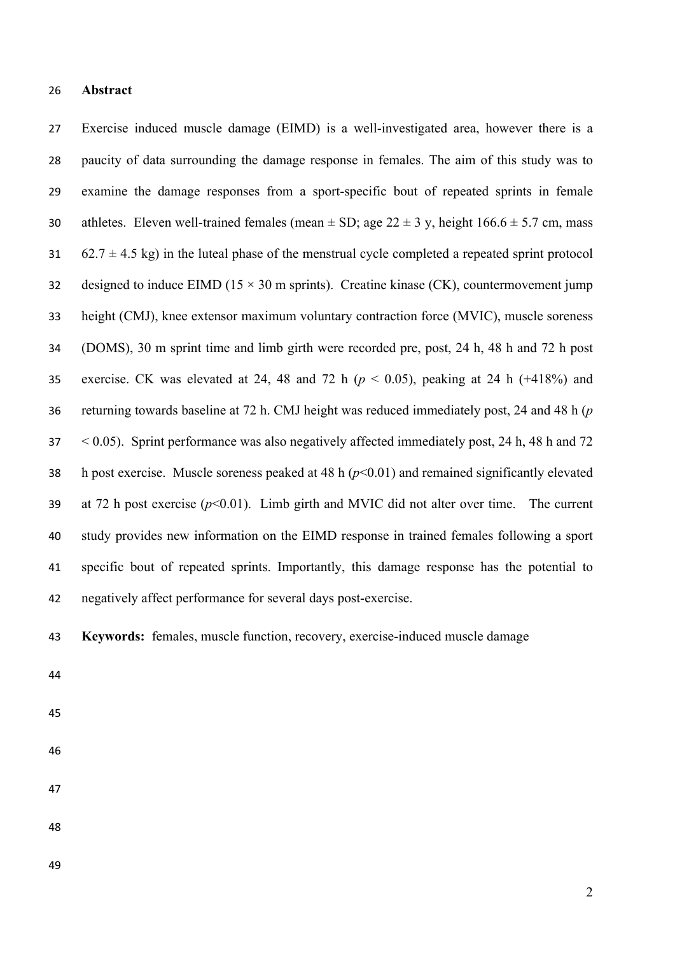## **Abstract**

 Exercise induced muscle damage (EIMD) is a well-investigated area, however there is a paucity of data surrounding the damage response in females. The aim of this study was to examine the damage responses from a sport-specific bout of repeated sprints in female 30 athletes. Eleven well-trained females (mean  $\pm$  SD; age 22  $\pm$  3 y, height 166.6  $\pm$  5.7 cm, mass 62.7  $\pm$  4.5 kg) in the luteal phase of the menstrual cycle completed a repeated sprint protocol 32 designed to induce EIMD ( $15 \times 30$  m sprints). Creatine kinase (CK), countermovement jump height (CMJ), knee extensor maximum voluntary contraction force (MVIC), muscle soreness (DOMS), 30 m sprint time and limb girth were recorded pre, post, 24 h, 48 h and 72 h post 35 exercise. CK was elevated at 24, 48 and 72 h  $(p < 0.05)$ , peaking at 24 h  $(+418%)$  and returning towards baseline at 72 h. CMJ height was reduced immediately post, 24 and 48 h (*p* < 0.05). Sprint performance was also negatively affected immediately post, 24 h, 48 h and 72 38 h post exercise. Muscle soreness peaked at 48 h  $(p<0.01)$  and remained significantly elevated 39 at 72 h post exercise  $(p<0.01)$ . Limb girth and MVIC did not alter over time. The current study provides new information on the EIMD response in trained females following a sport specific bout of repeated sprints. Importantly, this damage response has the potential to negatively affect performance for several days post-exercise.

- **Keywords:** females, muscle function, recovery, exercise-induced muscle damage
- 
- 

- 
- 
-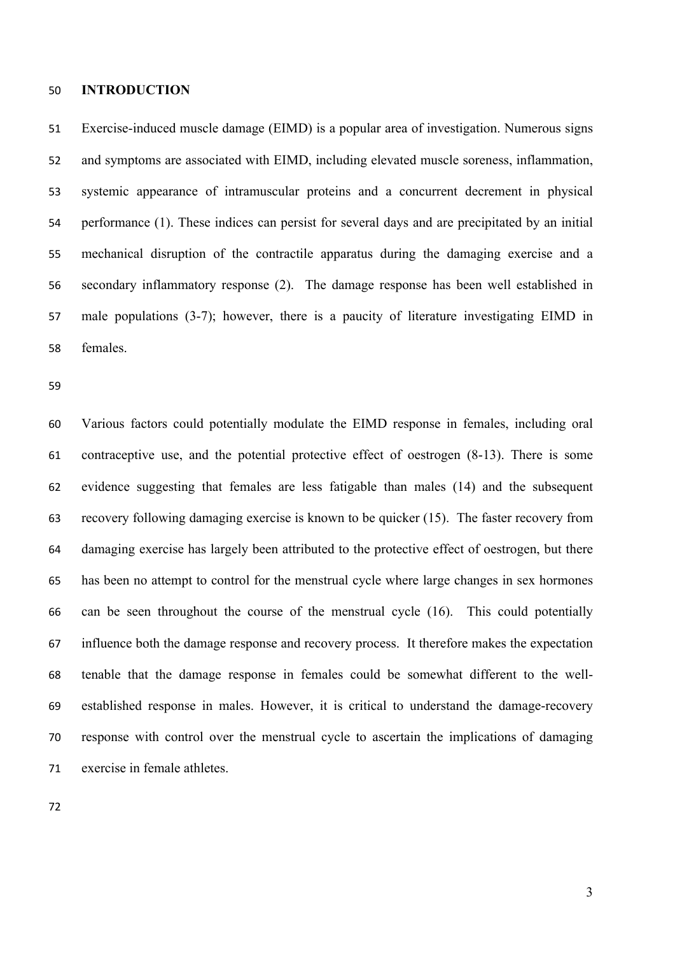#### **INTRODUCTION**

 Exercise-induced muscle damage (EIMD) is a popular area of investigation. Numerous signs and symptoms are associated with EIMD, including elevated muscle soreness, inflammation, systemic appearance of intramuscular proteins and a concurrent decrement in physical performance (1). These indices can persist for several days and are precipitated by an initial mechanical disruption of the contractile apparatus during the damaging exercise and a secondary inflammatory response (2). The damage response has been well established in male populations (3-7); however, there is a paucity of literature investigating EIMD in females.

 Various factors could potentially modulate the EIMD response in females, including oral contraceptive use, and the potential protective effect of oestrogen (8-13). There is some evidence suggesting that females are less fatigable than males (14) and the subsequent recovery following damaging exercise is known to be quicker (15). The faster recovery from damaging exercise has largely been attributed to the protective effect of oestrogen, but there has been no attempt to control for the menstrual cycle where large changes in sex hormones can be seen throughout the course of the menstrual cycle (16). This could potentially influence both the damage response and recovery process. It therefore makes the expectation tenable that the damage response in females could be somewhat different to the well- established response in males. However, it is critical to understand the damage-recovery response with control over the menstrual cycle to ascertain the implications of damaging exercise in female athletes.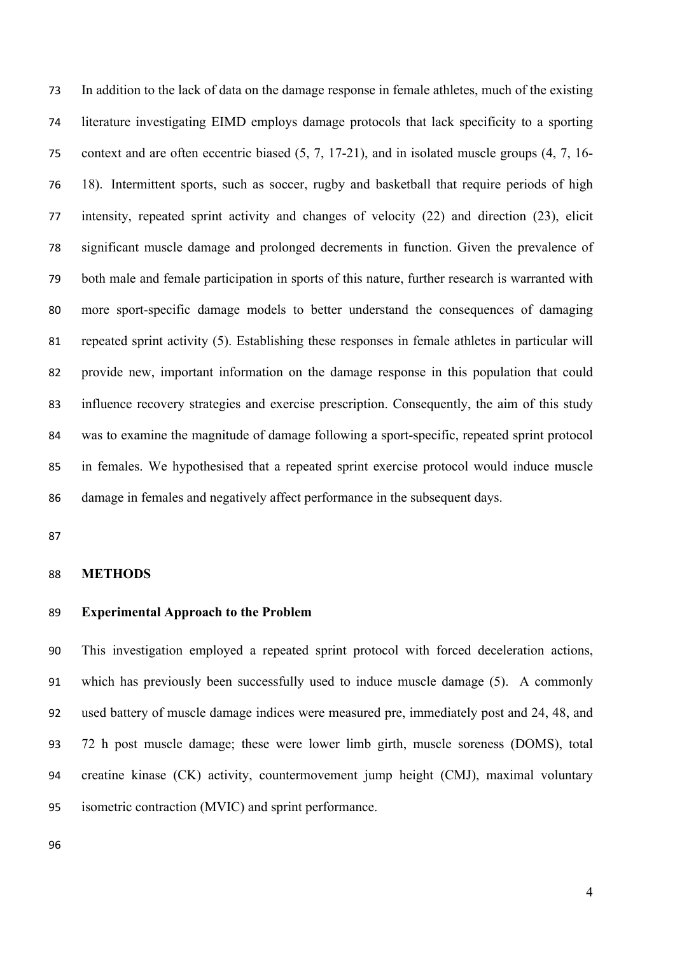In addition to the lack of data on the damage response in female athletes, much of the existing literature investigating EIMD employs damage protocols that lack specificity to a sporting context and are often eccentric biased (5, 7, 17-21), and in isolated muscle groups (4, 7, 16- 18). Intermittent sports, such as soccer, rugby and basketball that require periods of high intensity, repeated sprint activity and changes of velocity (22) and direction (23), elicit significant muscle damage and prolonged decrements in function. Given the prevalence of both male and female participation in sports of this nature, further research is warranted with more sport-specific damage models to better understand the consequences of damaging repeated sprint activity (5). Establishing these responses in female athletes in particular will provide new, important information on the damage response in this population that could influence recovery strategies and exercise prescription. Consequently, the aim of this study was to examine the magnitude of damage following a sport-specific, repeated sprint protocol in females. We hypothesised that a repeated sprint exercise protocol would induce muscle damage in females and negatively affect performance in the subsequent days.

#### **METHODS**

## **Experimental Approach to the Problem**

 This investigation employed a repeated sprint protocol with forced deceleration actions, which has previously been successfully used to induce muscle damage (5). A commonly used battery of muscle damage indices were measured pre, immediately post and 24, 48, and 72 h post muscle damage; these were lower limb girth, muscle soreness (DOMS), total creatine kinase (CK) activity, countermovement jump height (CMJ), maximal voluntary isometric contraction (MVIC) and sprint performance.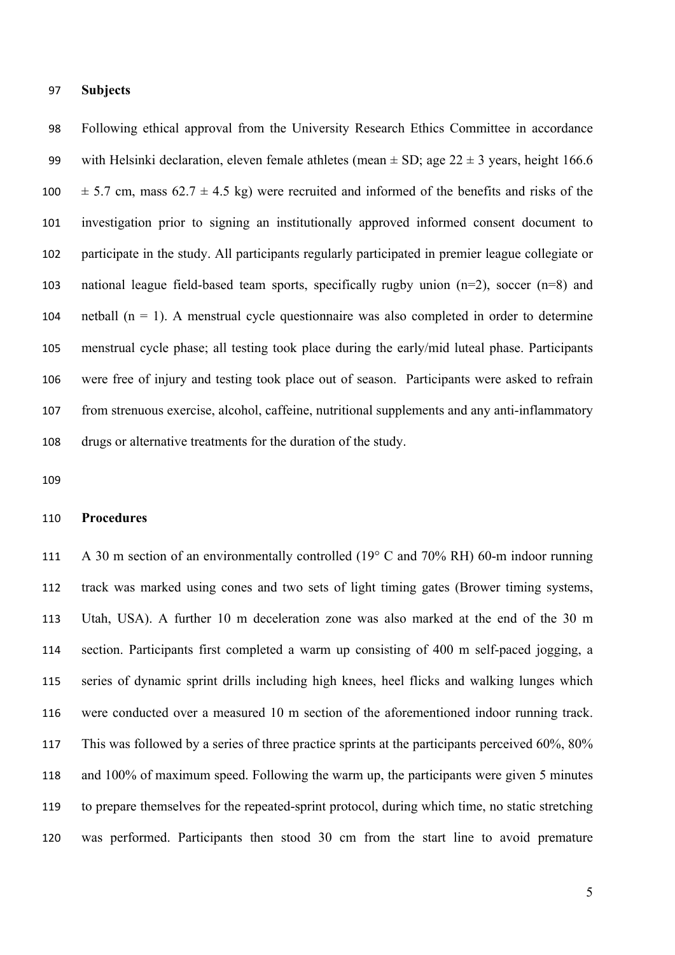## **Subjects**

 Following ethical approval from the University Research Ethics Committee in accordance 99 with Helsinki declaration, eleven female athletes (mean  $\pm$  SD; age 22  $\pm$  3 years, height 166.6  $\pm$  5.7 cm, mass 62.7  $\pm$  4.5 kg) were recruited and informed of the benefits and risks of the investigation prior to signing an institutionally approved informed consent document to participate in the study. All participants regularly participated in premier league collegiate or national league field-based team sports, specifically rugby union (n=2), soccer (n=8) and 104 netball  $(n = 1)$ . A menstrual cycle questionnaire was also completed in order to determine menstrual cycle phase; all testing took place during the early/mid luteal phase. Participants were free of injury and testing took place out of season. Participants were asked to refrain from strenuous exercise, alcohol, caffeine, nutritional supplements and any anti-inflammatory drugs or alternative treatments for the duration of the study.

## **Procedures**

 A 30 m section of an environmentally controlled (19° C and 70% RH) 60-m indoor running track was marked using cones and two sets of light timing gates (Brower timing systems, Utah, USA). A further 10 m deceleration zone was also marked at the end of the 30 m section. Participants first completed a warm up consisting of 400 m self-paced jogging, a series of dynamic sprint drills including high knees, heel flicks and walking lunges which were conducted over a measured 10 m section of the aforementioned indoor running track. This was followed by a series of three practice sprints at the participants perceived 60%, 80% and 100% of maximum speed. Following the warm up, the participants were given 5 minutes to prepare themselves for the repeated-sprint protocol, during which time, no static stretching was performed. Participants then stood 30 cm from the start line to avoid premature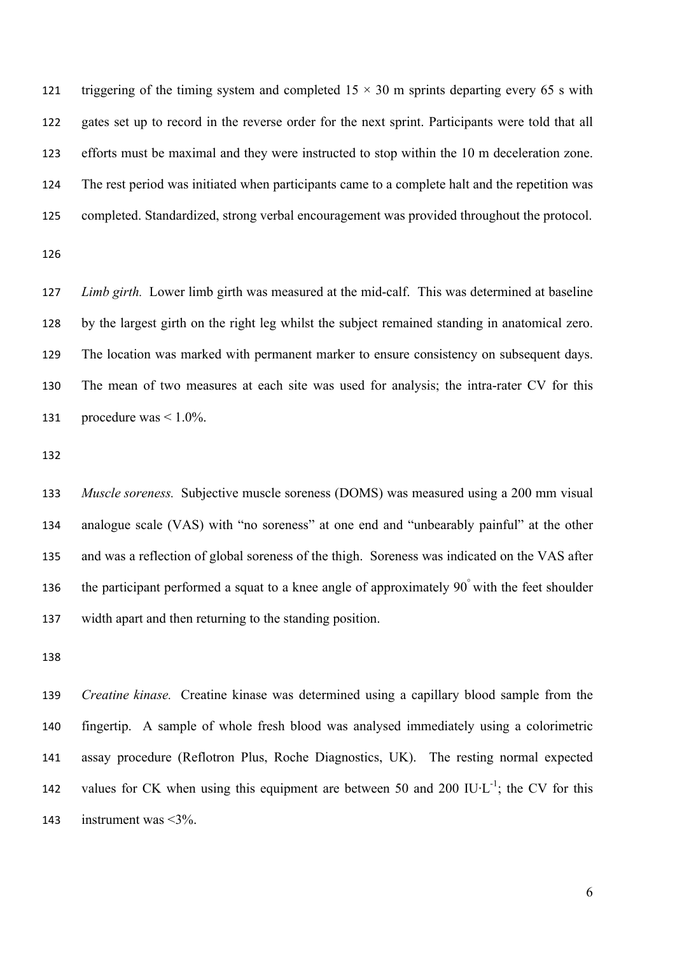121 triggering of the timing system and completed  $15 \times 30$  m sprints departing every 65 s with gates set up to record in the reverse order for the next sprint. Participants were told that all efforts must be maximal and they were instructed to stop within the 10 m deceleration zone. The rest period was initiated when participants came to a complete halt and the repetition was completed. Standardized, strong verbal encouragement was provided throughout the protocol.

 *Limb girth.* Lower limb girth was measured at the mid-calf. This was determined at baseline by the largest girth on the right leg whilst the subject remained standing in anatomical zero. The location was marked with permanent marker to ensure consistency on subsequent days. The mean of two measures at each site was used for analysis; the intra-rater CV for this 131 procedure was  $\leq 1.0\%$ .

 *Muscle soreness.* Subjective muscle soreness (DOMS) was measured using a 200 mm visual analogue scale (VAS) with "no soreness" at one end and "unbearably painful" at the other and was a reflection of global soreness of the thigh. Soreness was indicated on the VAS after the participant performed a squat to a knee angle of approximately  $90^{\degree}$  with the feet shoulder width apart and then returning to the standing position.

 *Creatine kinase.* Creatine kinase was determined using a capillary blood sample from the fingertip. A sample of whole fresh blood was analysed immediately using a colorimetric assay procedure (Reflotron Plus, Roche Diagnostics, UK). The resting normal expected values for CK when using this equipment are between 50 and 200 IU·L<sup>-1</sup>; the CV for this instrument was <3%.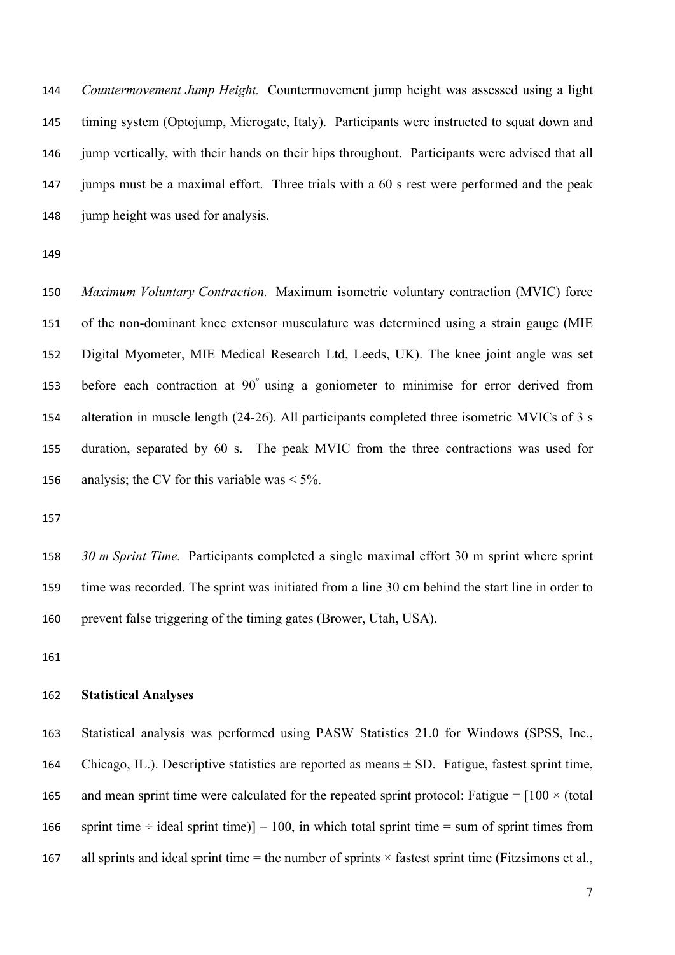*Countermovement Jump Height.* Countermovement jump height was assessed using a light timing system (Optojump, Microgate, Italy). Participants were instructed to squat down and jump vertically, with their hands on their hips throughout. Participants were advised that all jumps must be a maximal effort. Three trials with a 60 s rest were performed and the peak 148 jump height was used for analysis.

 *Maximum Voluntary Contraction.* Maximum isometric voluntary contraction (MVIC) force of the non-dominant knee extensor musculature was determined using a strain gauge (MIE Digital Myometer, MIE Medical Research Ltd, Leeds, UK). The knee joint angle was set 153 before each contraction at 90° using a goniometer to minimise for error derived from alteration in muscle length (24-26). All participants completed three isometric MVICs of 3 s duration, separated by 60 s. The peak MVIC from the three contractions was used for 156 analysis; the CV for this variable was  $\leq 5\%$ .

 *30 m Sprint Time.* Participants completed a single maximal effort 30 m sprint where sprint time was recorded. The sprint was initiated from a line 30 cm behind the start line in order to prevent false triggering of the timing gates (Brower, Utah, USA).

### **Statistical Analyses**

 Statistical analysis was performed using PASW Statistics 21.0 for Windows (SPSS, Inc., Chicago, IL.). Descriptive statistics are reported as means ± SD. Fatigue, fastest sprint time, 165 and mean sprint time were calculated for the repeated sprint protocol: Fatigue =  $[100 \times (total$ 166 sprint time  $\div$  ideal sprint time)] – 100, in which total sprint time = sum of sprint times from 167 all sprints and ideal sprint time  $=$  the number of sprints  $\times$  fastest sprint time (Fitzsimons et al.,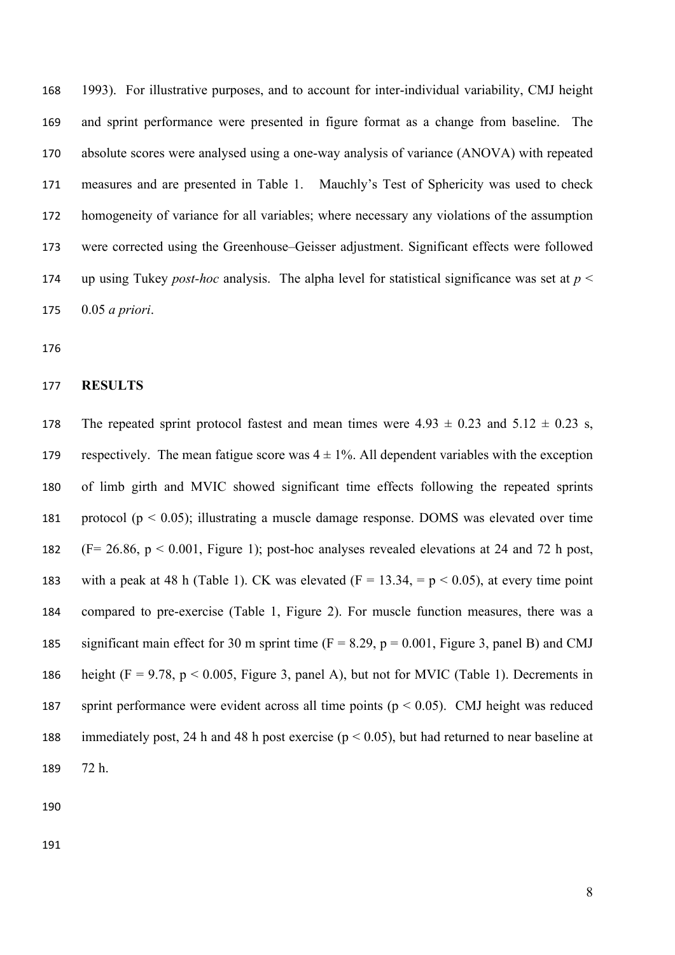1993). For illustrative purposes, and to account for inter-individual variability, CMJ height and sprint performance were presented in figure format as a change from baseline. The absolute scores were analysed using a one-way analysis of variance (ANOVA) with repeated measures and are presented in Table 1. Mauchly's Test of Sphericity was used to check homogeneity of variance for all variables; where necessary any violations of the assumption were corrected using the Greenhouse–Geisser adjustment. Significant effects were followed up using Tukey *post-hoc* analysis. The alpha level for statistical significance was set at *p* < 0.05 *a priori*.

#### **RESULTS**

178 The repeated sprint protocol fastest and mean times were  $4.93 \pm 0.23$  and  $5.12 \pm 0.23$  s, 179 respectively. The mean fatigue score was  $4 \pm 1\%$ . All dependent variables with the exception of limb girth and MVIC showed significant time effects following the repeated sprints protocol (p < 0.05); illustrating a muscle damage response. DOMS was elevated over time (F= 26.86, p < 0.001, Figure 1); post-hoc analyses revealed elevations at 24 and 72 h post, 183 with a peak at 48 h (Table 1). CK was elevated  $(F = 13.34, = p < 0.05)$ , at every time point compared to pre-exercise (Table 1, Figure 2). For muscle function measures, there was a 185 significant main effect for 30 m sprint time  $(F = 8.29, p = 0.001,$  Figure 3, panel B) and CMJ 186 height (F = 9.78,  $p < 0.005$ , Figure 3, panel A), but not for MVIC (Table 1). Decrements in 187 sprint performance were evident across all time points ( $p < 0.05$ ). CMJ height was reduced immediately post, 24 h and 48 h post exercise (p < 0.05), but had returned to near baseline at 72 h.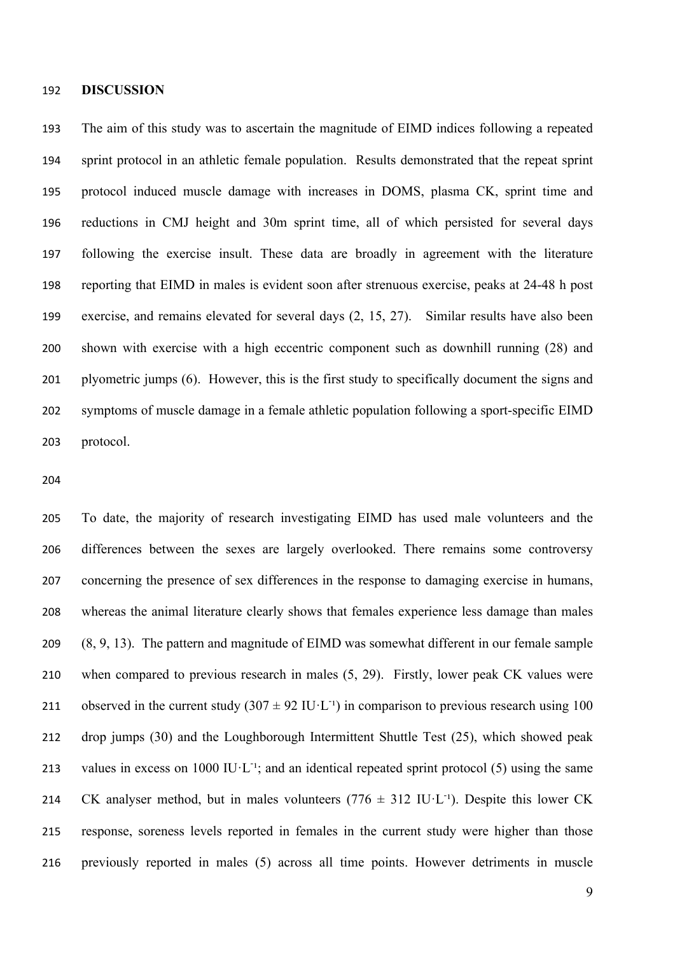#### **DISCUSSION**

 The aim of this study was to ascertain the magnitude of EIMD indices following a repeated sprint protocol in an athletic female population. Results demonstrated that the repeat sprint protocol induced muscle damage with increases in DOMS, plasma CK, sprint time and reductions in CMJ height and 30m sprint time, all of which persisted for several days following the exercise insult. These data are broadly in agreement with the literature reporting that EIMD in males is evident soon after strenuous exercise, peaks at 24-48 h post exercise, and remains elevated for several days (2, 15, 27). Similar results have also been shown with exercise with a high eccentric component such as downhill running (28) and plyometric jumps (6). However, this is the first study to specifically document the signs and symptoms of muscle damage in a female athletic population following a sport-specific EIMD protocol.

 To date, the majority of research investigating EIMD has used male volunteers and the differences between the sexes are largely overlooked. There remains some controversy concerning the presence of sex differences in the response to damaging exercise in humans, whereas the animal literature clearly shows that females experience less damage than males (8, 9, 13). The pattern and magnitude of EIMD was somewhat different in our female sample when compared to previous research in males (5, 29). Firstly, lower peak CK values were 211 observed in the current study  $(307 \pm 92 \text{ IU} \cdot \text{L}^{-1})$  in comparison to previous research using 100 drop jumps (30) and the Loughborough Intermittent Shuttle Test (25), which showed peak 213 values in excess on 1000 IU·L<sup>-1</sup>; and an identical repeated sprint protocol (5) using the same 214 CK analyser method, but in males volunteers  $(776 \pm 312 \text{ IU·L}^{-1})$ . Despite this lower CK response, soreness levels reported in females in the current study were higher than those previously reported in males (5) across all time points. However detriments in muscle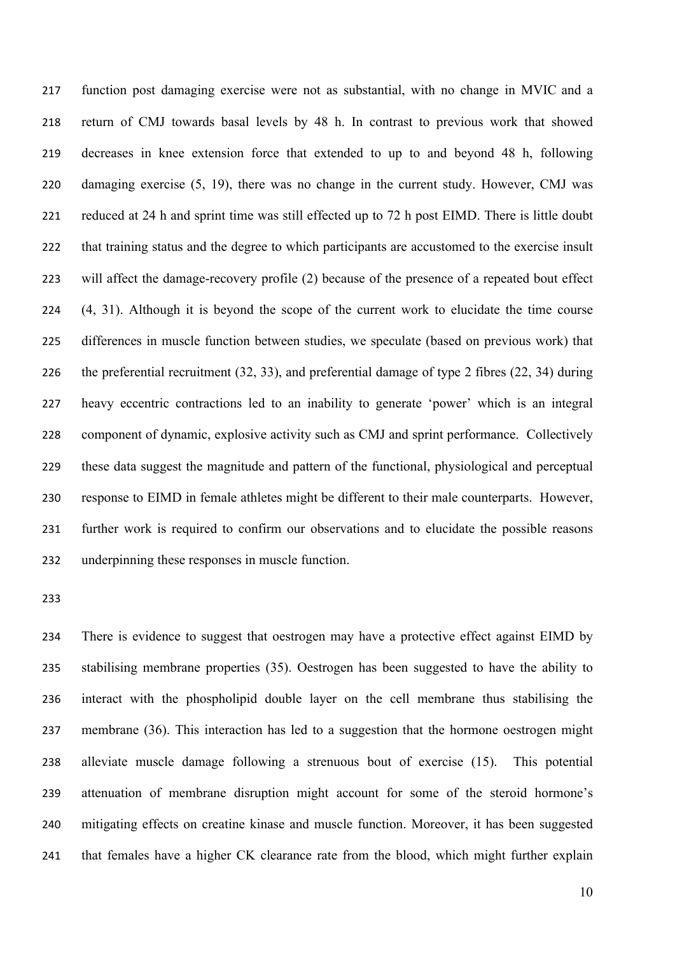function post damaging exercise were not as substantial, with no change in MVIC and a return of CMJ towards basal levels by 48 h. In contrast to previous work that showed decreases in knee extension force that extended to up to and beyond 48 h, following damaging exercise (5, 19), there was no change in the current study. However, CMJ was reduced at 24 h and sprint time was still effected up to 72 h post EIMD. There is little doubt that training status and the degree to which participants are accustomed to the exercise insult will affect the damage-recovery profile (2) because of the presence of a repeated bout effect (4, 31). Although it is beyond the scope of the current work to elucidate the time course differences in muscle function between studies, we speculate (based on previous work) that the preferential recruitment (32, 33), and preferential damage of type 2 fibres (22, 34) during heavy eccentric contractions led to an inability to generate 'power' which is an integral component of dynamic, explosive activity such as CMJ and sprint performance. Collectively these data suggest the magnitude and pattern of the functional, physiological and perceptual response to EIMD in female athletes might be different to their male counterparts. However, further work is required to confirm our observations and to elucidate the possible reasons underpinning these responses in muscle function.

 There is evidence to suggest that oestrogen may have a protective effect against EIMD by stabilising membrane properties (35). Oestrogen has been suggested to have the ability to interact with the phospholipid double layer on the cell membrane thus stabilising the membrane (36). This interaction has led to a suggestion that the hormone oestrogen might alleviate muscle damage following a strenuous bout of exercise (15). This potential attenuation of membrane disruption might account for some of the steroid hormone's mitigating effects on creatine kinase and muscle function. Moreover, it has been suggested that females have a higher CK clearance rate from the blood, which might further explain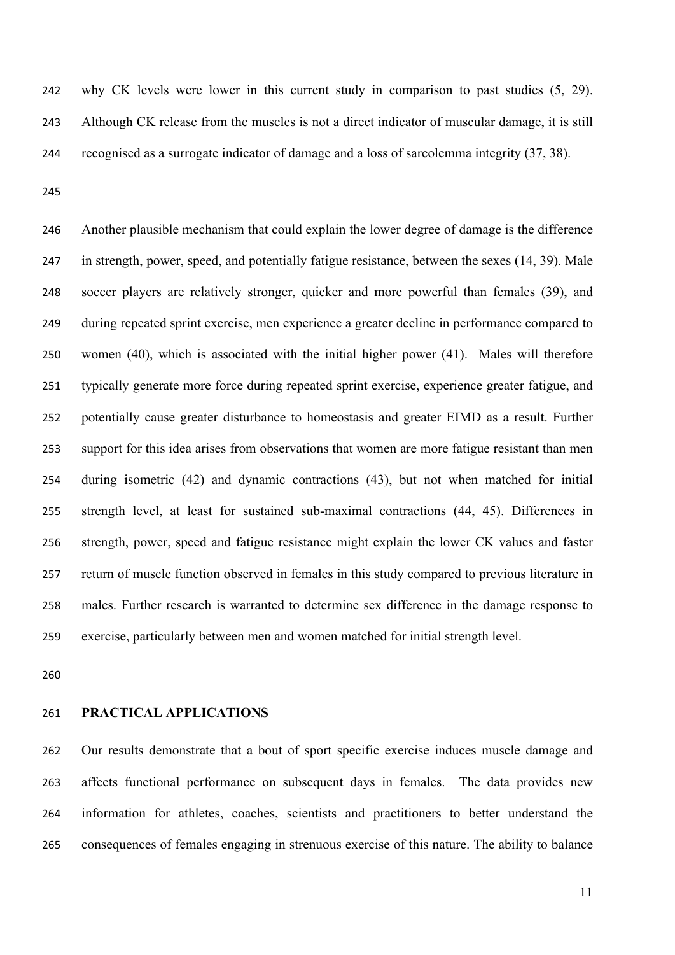why CK levels were lower in this current study in comparison to past studies (5, 29). Although CK release from the muscles is not a direct indicator of muscular damage, it is still recognised as a surrogate indicator of damage and a loss of sarcolemma integrity (37, 38).

 Another plausible mechanism that could explain the lower degree of damage is the difference in strength, power, speed, and potentially fatigue resistance, between the sexes (14, 39). Male soccer players are relatively stronger, quicker and more powerful than females (39), and during repeated sprint exercise, men experience a greater decline in performance compared to women (40), which is associated with the initial higher power (41). Males will therefore typically generate more force during repeated sprint exercise, experience greater fatigue, and potentially cause greater disturbance to homeostasis and greater EIMD as a result. Further support for this idea arises from observations that women are more fatigue resistant than men during isometric (42) and dynamic contractions (43), but not when matched for initial strength level, at least for sustained sub-maximal contractions (44, 45). Differences in strength, power, speed and fatigue resistance might explain the lower CK values and faster return of muscle function observed in females in this study compared to previous literature in males. Further research is warranted to determine sex difference in the damage response to exercise, particularly between men and women matched for initial strength level.

#### **PRACTICAL APPLICATIONS**

 Our results demonstrate that a bout of sport specific exercise induces muscle damage and affects functional performance on subsequent days in females. The data provides new information for athletes, coaches, scientists and practitioners to better understand the consequences of females engaging in strenuous exercise of this nature. The ability to balance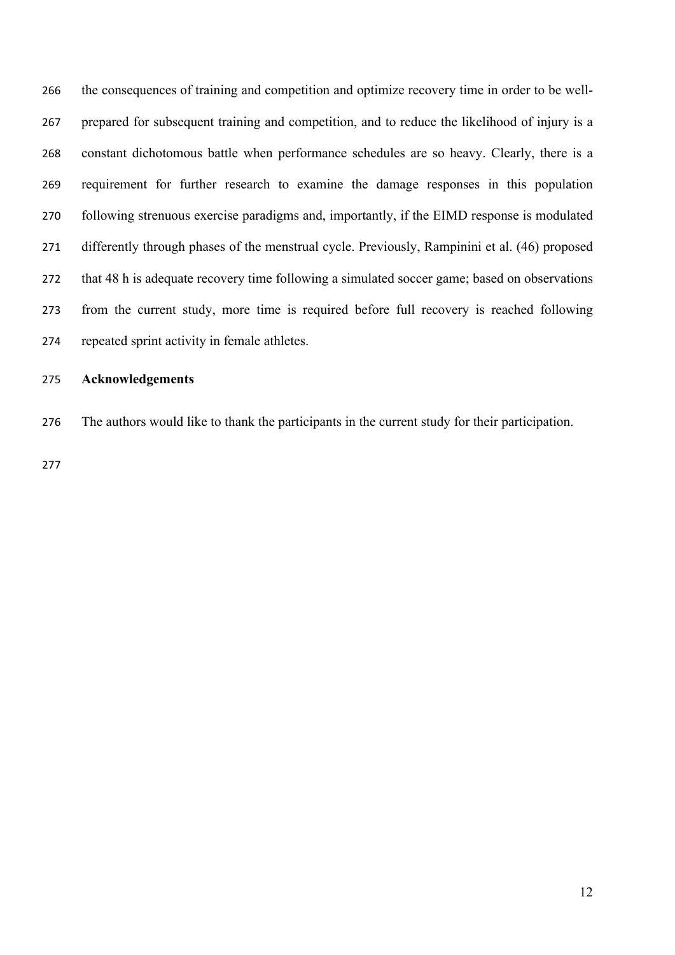the consequences of training and competition and optimize recovery time in order to be well- prepared for subsequent training and competition, and to reduce the likelihood of injury is a constant dichotomous battle when performance schedules are so heavy. Clearly, there is a requirement for further research to examine the damage responses in this population following strenuous exercise paradigms and, importantly, if the EIMD response is modulated differently through phases of the menstrual cycle. Previously, Rampinini et al. (46) proposed that 48 h is adequate recovery time following a simulated soccer game; based on observations from the current study, more time is required before full recovery is reached following repeated sprint activity in female athletes.

# **Acknowledgements**

The authors would like to thank the participants in the current study for their participation.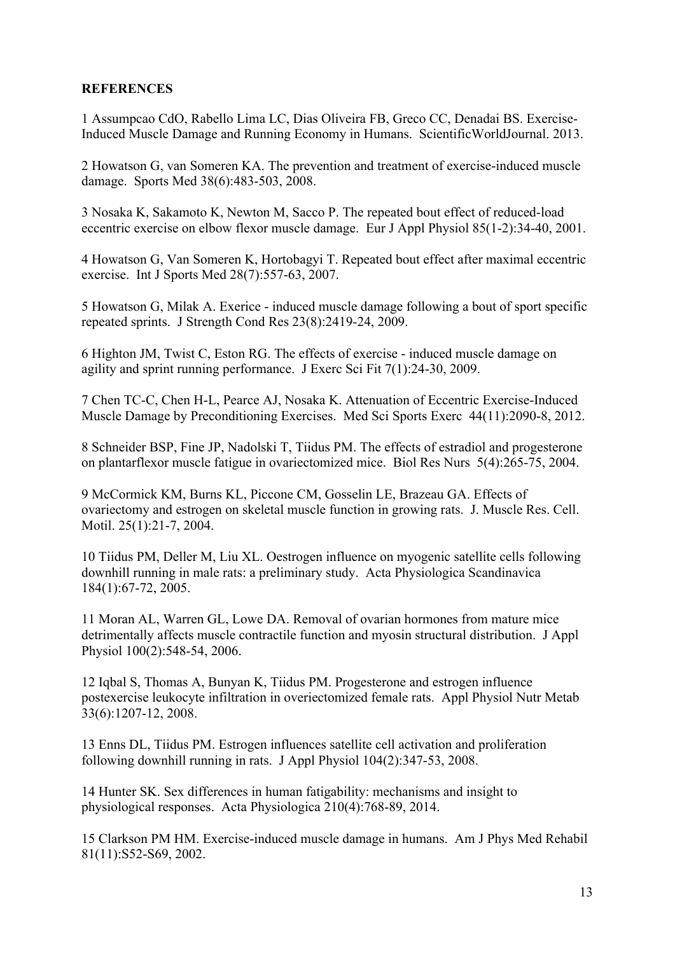# **REFERENCES**

1 Assumpcao CdO, Rabello Lima LC, Dias Oliveira FB, Greco CC, Denadai BS. Exercise-Induced Muscle Damage and Running Economy in Humans. ScientificWorldJournal. 2013.

2 Howatson G, van Someren KA. The prevention and treatment of exercise-induced muscle damage. Sports Med 38(6):483-503, 2008.

3 Nosaka K, Sakamoto K, Newton M, Sacco P. The repeated bout effect of reduced-load eccentric exercise on elbow flexor muscle damage. Eur J Appl Physiol 85(1-2):34-40, 2001.

4 Howatson G, Van Someren K, Hortobagyi T. Repeated bout effect after maximal eccentric exercise. Int J Sports Med 28(7):557-63, 2007.

5 Howatson G, Milak A. Exerice - induced muscle damage following a bout of sport specific repeated sprints. J Strength Cond Res 23(8):2419-24, 2009.

6 Highton JM, Twist C, Eston RG. The effects of exercise - induced muscle damage on agility and sprint running performance. J Exerc Sci Fit 7(1):24-30, 2009.

7 Chen TC-C, Chen H-L, Pearce AJ, Nosaka K. Attenuation of Eccentric Exercise-Induced Muscle Damage by Preconditioning Exercises. Med Sci Sports Exerc 44(11):2090-8, 2012.

8 Schneider BSP, Fine JP, Nadolski T, Tiidus PM. The effects of estradiol and progesterone on plantarflexor muscle fatigue in ovariectomized mice. Biol Res Nurs 5(4):265-75, 2004.

9 McCormick KM, Burns KL, Piccone CM, Gosselin LE, Brazeau GA. Effects of ovariectomy and estrogen on skeletal muscle function in growing rats. J. Muscle Res. Cell. Motil. 25(1):21-7, 2004.

10 Tiidus PM, Deller M, Liu XL. Oestrogen influence on myogenic satellite cells following downhill running in male rats: a preliminary study. Acta Physiologica Scandinavica 184(1):67-72, 2005.

11 Moran AL, Warren GL, Lowe DA. Removal of ovarian hormones from mature mice detrimentally affects muscle contractile function and myosin structural distribution. J Appl Physiol 100(2):548-54, 2006.

12 Iqbal S, Thomas A, Bunyan K, Tiidus PM. Progesterone and estrogen influence postexercise leukocyte infiltration in overiectomized female rats. Appl Physiol Nutr Metab 33(6):1207-12, 2008.

13 Enns DL, Tiidus PM. Estrogen influences satellite cell activation and proliferation following downhill running in rats. J Appl Physiol 104(2):347-53, 2008.

14 Hunter SK. Sex differences in human fatigability: mechanisms and insight to physiological responses. Acta Physiologica 210(4):768-89, 2014.

15 Clarkson PM HM. Exercise-induced muscle damage in humans. Am J Phys Med Rehabil 81(11):S52-S69, 2002.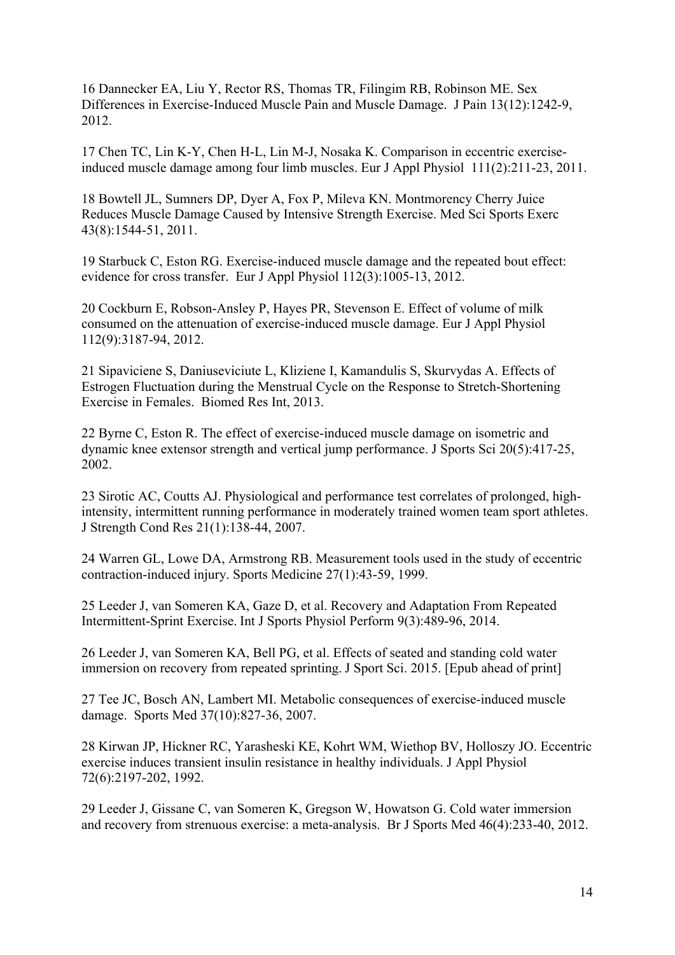16 Dannecker EA, Liu Y, Rector RS, Thomas TR, Filingim RB, Robinson ME. Sex Differences in Exercise-Induced Muscle Pain and Muscle Damage. J Pain 13(12):1242-9, 2012.

17 Chen TC, Lin K-Y, Chen H-L, Lin M-J, Nosaka K. Comparison in eccentric exerciseinduced muscle damage among four limb muscles. Eur J Appl Physiol 111(2):211-23, 2011.

18 Bowtell JL, Sumners DP, Dyer A, Fox P, Mileva KN. Montmorency Cherry Juice Reduces Muscle Damage Caused by Intensive Strength Exercise. Med Sci Sports Exerc 43(8):1544-51, 2011.

19 Starbuck C, Eston RG. Exercise-induced muscle damage and the repeated bout effect: evidence for cross transfer. Eur J Appl Physiol 112(3):1005-13, 2012.

20 Cockburn E, Robson-Ansley P, Hayes PR, Stevenson E. Effect of volume of milk consumed on the attenuation of exercise-induced muscle damage. Eur J Appl Physiol 112(9):3187-94, 2012.

21 Sipaviciene S, Daniuseviciute L, Kliziene I, Kamandulis S, Skurvydas A. Effects of Estrogen Fluctuation during the Menstrual Cycle on the Response to Stretch-Shortening Exercise in Females. Biomed Res Int, 2013.

22 Byrne C, Eston R. The effect of exercise-induced muscle damage on isometric and dynamic knee extensor strength and vertical jump performance. J Sports Sci 20(5):417-25, 2002.

23 Sirotic AC, Coutts AJ. Physiological and performance test correlates of prolonged, highintensity, intermittent running performance in moderately trained women team sport athletes. J Strength Cond Res 21(1):138-44, 2007.

24 Warren GL, Lowe DA, Armstrong RB. Measurement tools used in the study of eccentric contraction-induced injury. Sports Medicine 27(1):43-59, 1999.

25 Leeder J, van Someren KA, Gaze D, et al. Recovery and Adaptation From Repeated Intermittent-Sprint Exercise. Int J Sports Physiol Perform 9(3):489-96, 2014.

26 Leeder J, van Someren KA, Bell PG, et al. Effects of seated and standing cold water immersion on recovery from repeated sprinting. J Sport Sci. 2015. [Epub ahead of print]

27 Tee JC, Bosch AN, Lambert MI. Metabolic consequences of exercise-induced muscle damage. Sports Med 37(10):827-36, 2007.

28 Kirwan JP, Hickner RC, Yarasheski KE, Kohrt WM, Wiethop BV, Holloszy JO. Eccentric exercise induces transient insulin resistance in healthy individuals. J Appl Physiol 72(6):2197-202, 1992.

29 Leeder J, Gissane C, van Someren K, Gregson W, Howatson G. Cold water immersion and recovery from strenuous exercise: a meta-analysis. Br J Sports Med 46(4):233-40, 2012.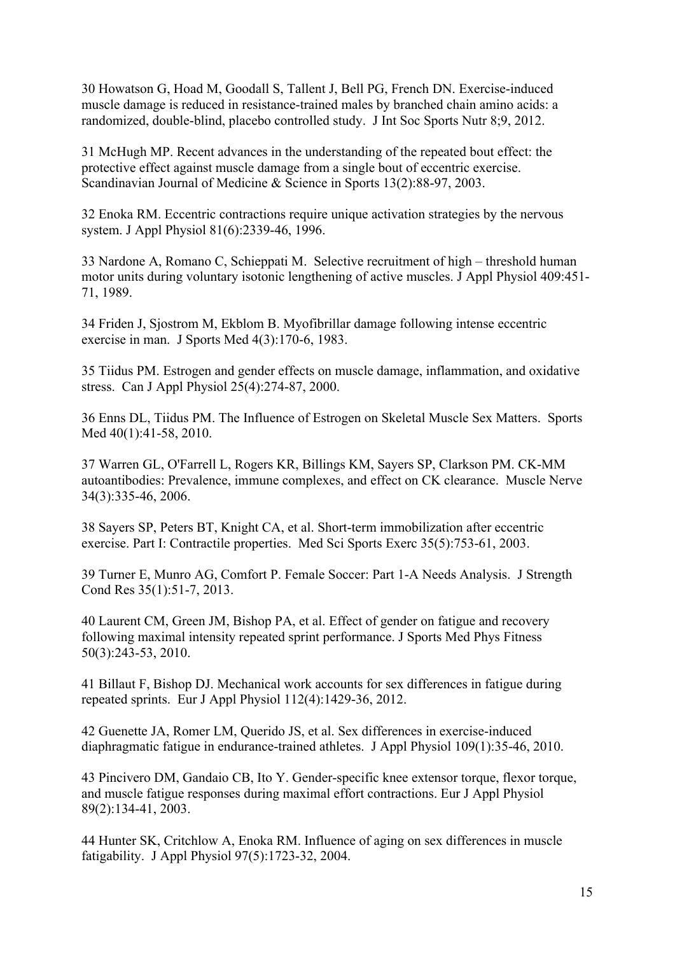30 Howatson G, Hoad M, Goodall S, Tallent J, Bell PG, French DN. Exercise-induced muscle damage is reduced in resistance-trained males by branched chain amino acids: a randomized, double-blind, placebo controlled study. J Int Soc Sports Nutr 8;9, 2012.

31 McHugh MP. Recent advances in the understanding of the repeated bout effect: the protective effect against muscle damage from a single bout of eccentric exercise. Scandinavian Journal of Medicine & Science in Sports 13(2):88-97, 2003.

32 Enoka RM. Eccentric contractions require unique activation strategies by the nervous system. J Appl Physiol 81(6):2339-46, 1996.

33 Nardone A, Romano C, Schieppati M. Selective recruitment of high – threshold human motor units during voluntary isotonic lengthening of active muscles. J Appl Physiol 409:451- 71, 1989.

34 Friden J, Sjostrom M, Ekblom B. Myofibrillar damage following intense eccentric exercise in man. J Sports Med 4(3):170-6, 1983.

35 Tiidus PM. Estrogen and gender effects on muscle damage, inflammation, and oxidative stress. Can J Appl Physiol 25(4):274-87, 2000.

36 Enns DL, Tiidus PM. The Influence of Estrogen on Skeletal Muscle Sex Matters. Sports Med 40(1):41-58, 2010.

37 Warren GL, O'Farrell L, Rogers KR, Billings KM, Sayers SP, Clarkson PM. CK-MM autoantibodies: Prevalence, immune complexes, and effect on CK clearance. Muscle Nerve 34(3):335-46, 2006.

38 Sayers SP, Peters BT, Knight CA, et al. Short-term immobilization after eccentric exercise. Part I: Contractile properties. Med Sci Sports Exerc 35(5):753-61, 2003.

39 Turner E, Munro AG, Comfort P. Female Soccer: Part 1-A Needs Analysis. J Strength Cond Res 35(1):51-7, 2013.

40 Laurent CM, Green JM, Bishop PA, et al. Effect of gender on fatigue and recovery following maximal intensity repeated sprint performance. J Sports Med Phys Fitness 50(3):243-53, 2010.

41 Billaut F, Bishop DJ. Mechanical work accounts for sex differences in fatigue during repeated sprints. Eur J Appl Physiol 112(4):1429-36, 2012.

42 Guenette JA, Romer LM, Querido JS, et al. Sex differences in exercise-induced diaphragmatic fatigue in endurance-trained athletes. J Appl Physiol 109(1):35-46, 2010.

43 Pincivero DM, Gandaio CB, Ito Y. Gender-specific knee extensor torque, flexor torque, and muscle fatigue responses during maximal effort contractions. Eur J Appl Physiol 89(2):134-41, 2003.

44 Hunter SK, Critchlow A, Enoka RM. Influence of aging on sex differences in muscle fatigability. J Appl Physiol 97(5):1723-32, 2004.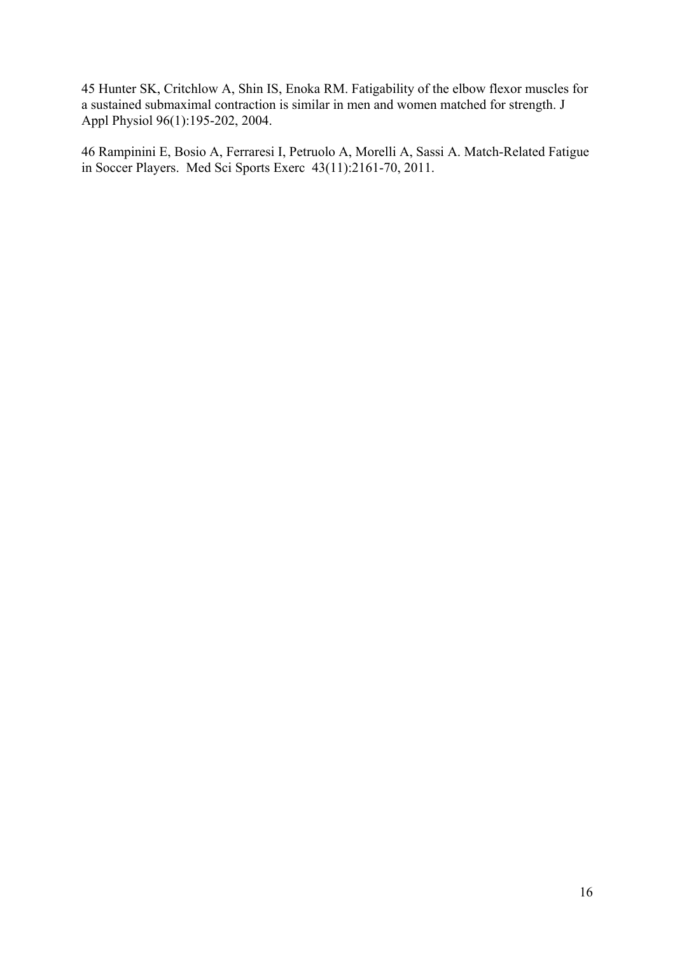45 Hunter SK, Critchlow A, Shin IS, Enoka RM. Fatigability of the elbow flexor muscles for a sustained submaximal contraction is similar in men and women matched for strength. J Appl Physiol 96(1):195-202, 2004.

46 Rampinini E, Bosio A, Ferraresi I, Petruolo A, Morelli A, Sassi A. Match-Related Fatigue in Soccer Players. Med Sci Sports Exerc 43(11):2161-70, 2011.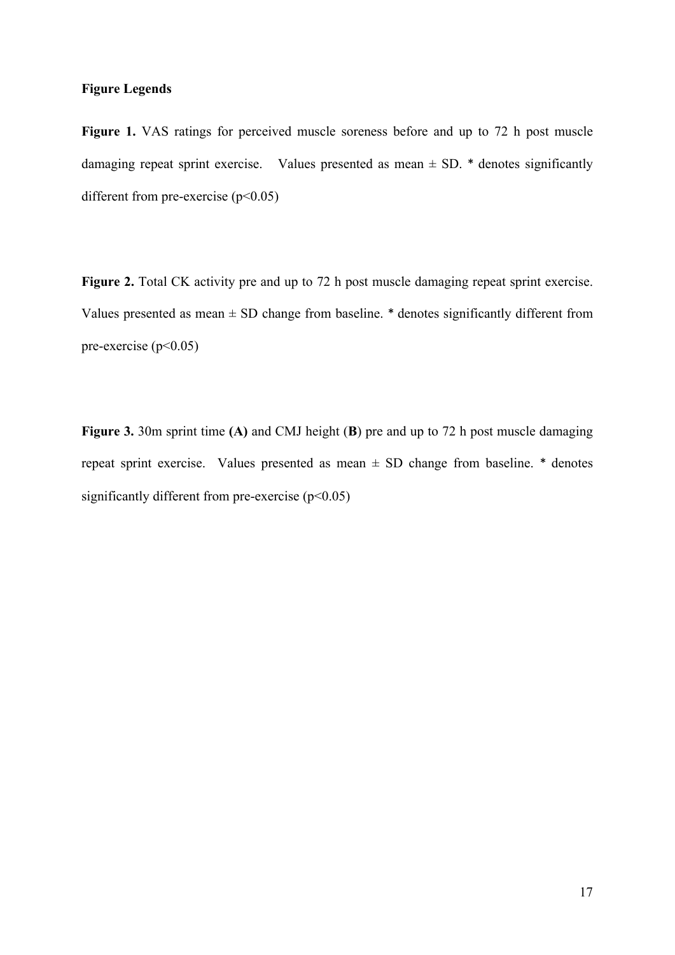## **Figure Legends**

Figure 1. VAS ratings for perceived muscle soreness before and up to 72 h post muscle damaging repeat sprint exercise. Values presented as mean  $\pm$  SD.  $*$  denotes significantly different from pre-exercise  $(p<0.05)$ 

Figure 2. Total CK activity pre and up to 72 h post muscle damaging repeat sprint exercise. Values presented as mean  $\pm$  SD change from baseline.  $*$  denotes significantly different from pre-exercise ( $p<0.05$ )

**Figure 3.** 30m sprint time **(A)** and CMJ height (**B**) pre and up to 72 h post muscle damaging repeat sprint exercise. Values presented as mean  $\pm$  SD change from baseline.  $*$  denotes significantly different from pre-exercise  $(p<0.05)$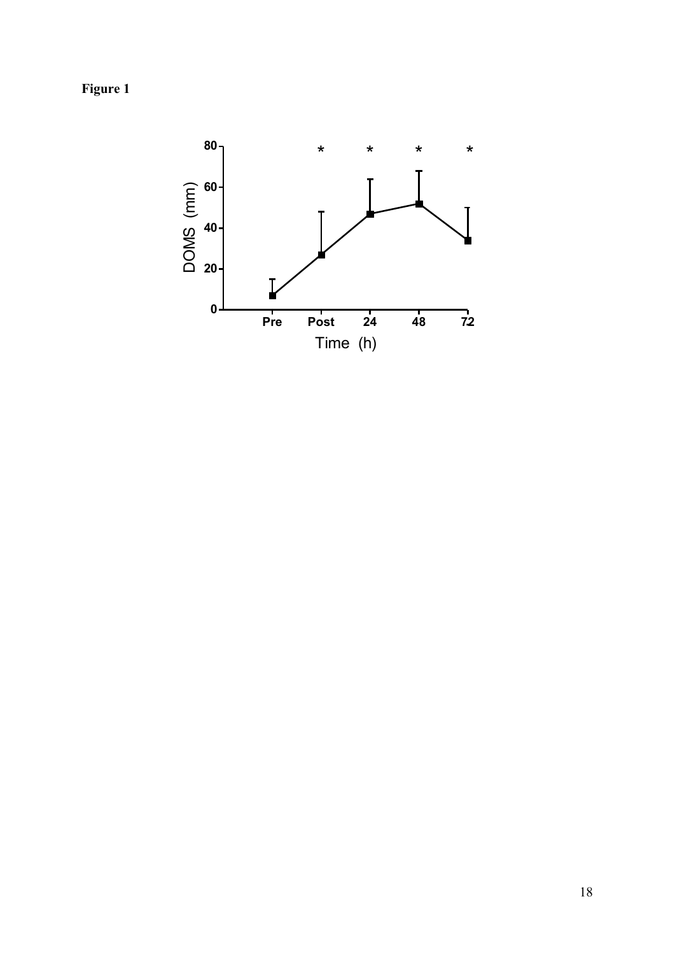**Figure 1**

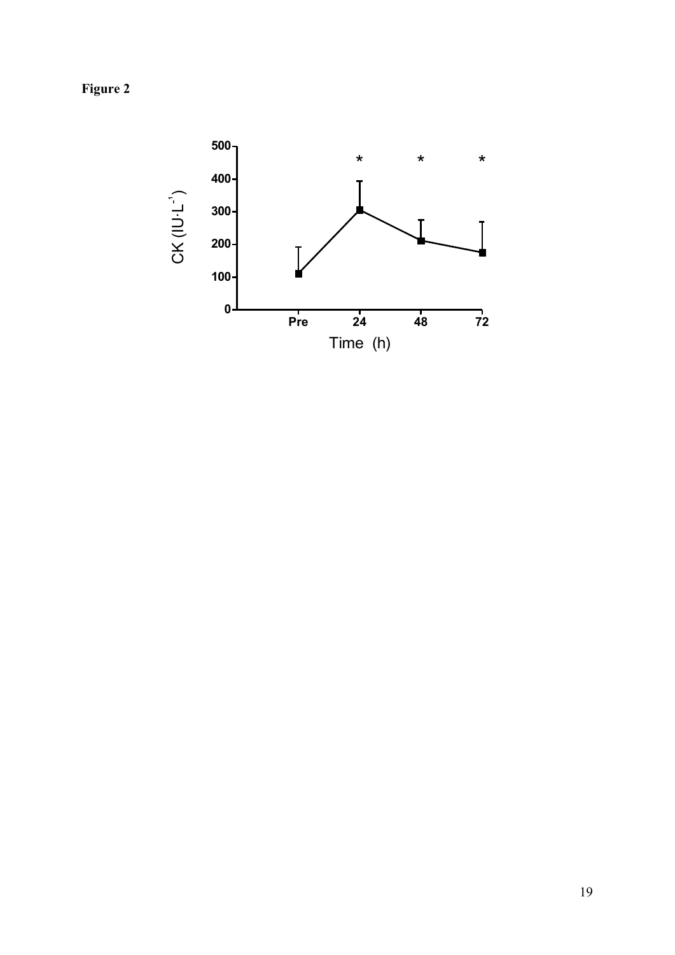**Figure 2**

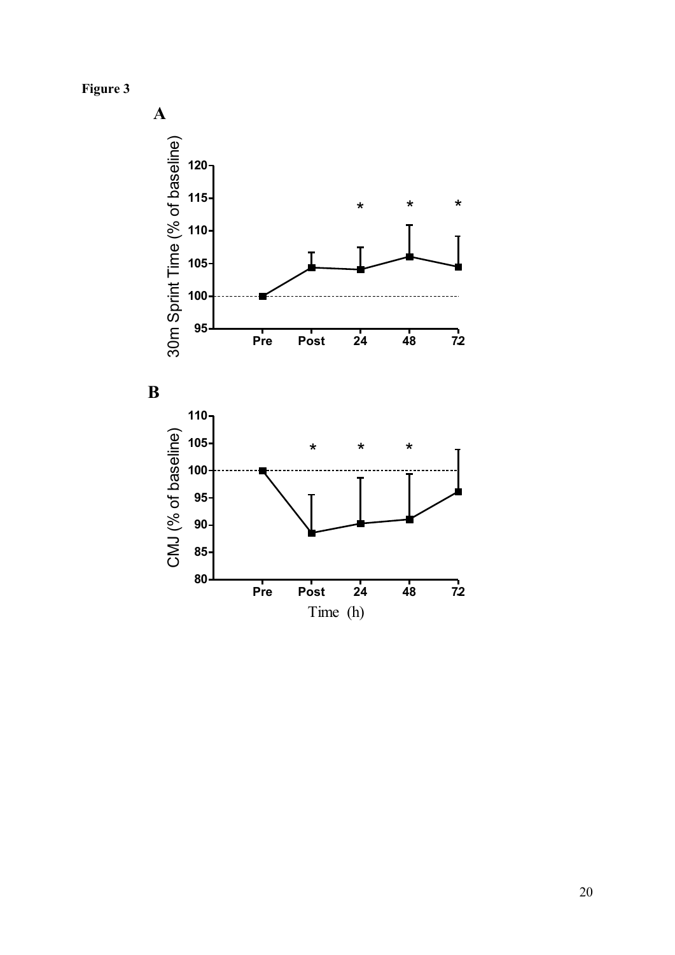**Figure 3**